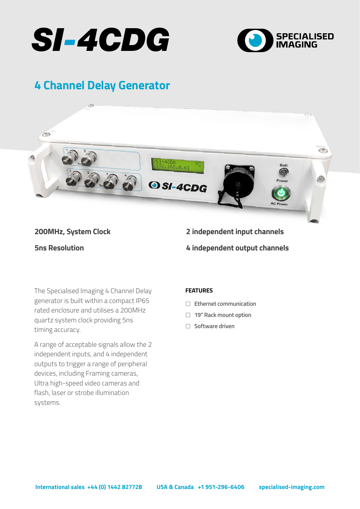



# **4 Channel Delay Generator**



### **200MHz, System Clock**

**5ns Resolution**

## **2 independent input channels 4 independent output channels**

The Specialised Imaging 4 Channel Delay **FEATURES** generator is built within a compact IP65 rated enclosure and utilises a 200MHz quartz system clock providing 5ns timing accuracy.

A range of acceptable signals allow the 2 independent inputs, and 4 independent outputs to trigger a range of peripheral devices, including Framing cameras, Ultra high-speed video cameras and flash, laser or strobe illumination systems.

- <sup>F</sup> **Ethernet communication**
- □ 19" Rack mount option
- <sup>F</sup> **Software driven**